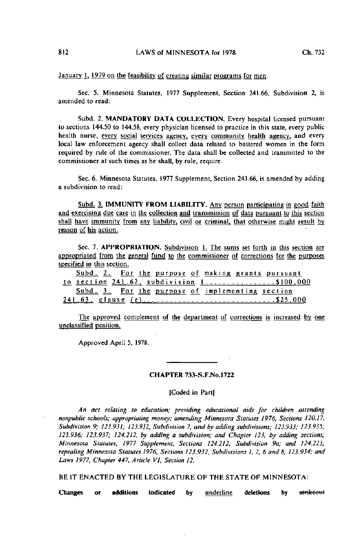January  $\frac{1}{2}$ , 1979 on the feasibility of creating similar programs for men.

Sec. 5. Minnesota Statutes, 1977 Supplement, Section 241.66, Subdivision 2, is amended to read:

Subd. 2. MANDATORY DATA COLLECTION. Every hospital licensed pursuant to sections 144.50 to 144.58, every physician licensed to practice in this state, every public health nurse, every social services agency, every community health agency, and every local law enforcement agency shall collect data related to battered women in the form required by rule of the commissioner. The data shall be collected and transmitted to the commissioner at such times as he shall, by rule, require.

Sec. 6. Minnesota Statutes, 1977 Supplement, Section 241.66, is amended by adding a subdivision to read:

Subd. 3. IMMUNITY FROM LIABILITY. Any person participating in good faith and exercising due care in the collection and transmission of data pursuant to this section shall have immunity from any liability, civil or criminal, that otherwise might result by reason of his action.

Sec. 7. APPROPRIATION. Subdivision 1. The sums set forth in this section are appropriated from the general fund to the commissioner of corrections for the purposes specified in this section.

| Subd. 2. For the purpose of making grants pursuant |
|----------------------------------------------------|
| to section $241.62$ , subdivision 1\$100,000       |
| Subd. 3. For the purpose of implementing section   |
| 241.63, clause (e)\$25,000                         |

The approved complement of the department of corrections is increased by one unclassified position.

Approved April 5, 1978.

## CHAPTER 733-S.F.No.l722

### [Coded in Part)

An act relating to education; providing educational aids for children attending nonpublic schools; appropriating money; amending Minnesota Statutes 1976, Sections 120.17, Subdivision 9; 123.931; 123.932, Subdivision 7, and by adding subdivisions; 123.933; 123.935; 123.936; 123.937; 124.212, by adding a subdivision; and Chapter 123, by adding sections; Minnesota Statutes, 1977 Supplement, Sections 124.212, Subdivision 9a; and 124.223; repealing Minnesota Statutes 1976, Sections 123.932, Subdivisions 1, 2, 6 and 8; 123.934; and Laws 1977, Chapter 447, Article VI, Section 12.

BE IT ENACTED BY THE LEGISLATURE OF THE STATE OF MINNESOTA: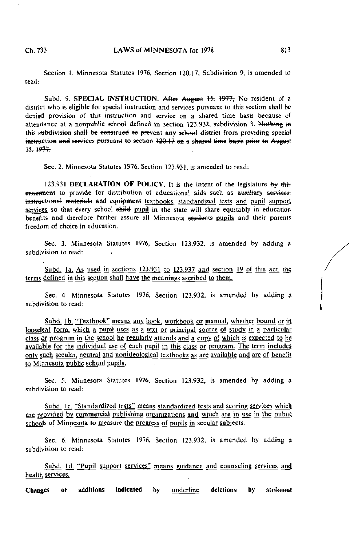Section 1. Minnesota Statutes 1976, Section 120.17, Subdivision 9, is amended to read.

Subd. 9. SPECIAL INSTRUCTION. After August 15, 1977, No resident of a district who is eligible for special instruction and services pursuant to this section shall be denied provision of this instruction and service on a shared time basis because of attendance at a nonpublic school defined in section 123.932, subdivision 3. Nothing in this subdivision shall be construed to prevent any school district from providing special instruction and services pursuant to section 120.17 on a shared time basis prior to August<br>15.1977.

Sec. 2. Minnesota Statutes 1976, Section 123.931, is amended to read:

123.931 DECLARATION OF POLICY. It is the intent of the legislature by this enactment to provide for distribution of educational aids such as auxiliary services; instructional materials and equipment textbooks, standardized tests and pupil support services so that every school ehild pupil in the state will share equitably in education benefits and therefore further assure all Minnesota students pupils and their parents freedom of choice in education.

Sec. 3. Minnesota Statutes 1976, Section 123.932, is amended by adding a subdivision to read:

Subd. la. As used in sections 123.931 to 123.937 and section 19 of this act, the terms defined in this section shall have the meanings ascribed to them.

Sec. 4. Minnesota Statutes 1976, Section 123.932, is amended by adding a subdivision to read:

Subd. 1b. "Textbook" means any book, workbook or manual, whether bound or in looseleaf form, which a pupil uses as a text or principal source of study in a particular class or program in the school he regularly attends and a copy of which is expected to be available for the individual use of each pupil in this class or program. The term includes only such secular, neutral and nonideological textbooks as are available and are of benefit to Minnesota public school pupils,

Sec. 5. Minnesota Statutes 1976, Section 123.932, is amended by adding a subdivision to read:

Subd. Ic. "Standardized tests" means standardized tests and scoring services which are provided by commercial publishing organizations and which are in use in the public schools of Minnesota to measure the progress of pupils in secular subjects.

Sec. 6. Minnesota Statutes 1976, Section 123.932, is amended by adding a subdivision to read:

Subd. 1d. "Pupil support services" means guidance and counseling services and health services.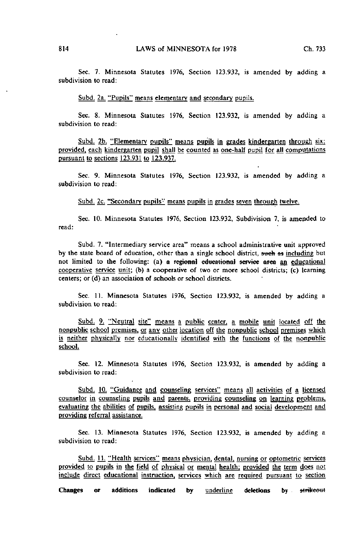Sec. 7. Minnesota Statutes 1976, Section 123.932, is amended by adding a subdivision to read:

Subd. 2a. "Pupils" means elementary and secondary pupils.

Sec. 8. Minnesota Statutes 1976, Section 123.932, is amended by adding a subdivision to read:

Subd. 2b. "Elementary pupils" means pupils in grades kindergarten through six; provided, each kindergarten pupil shall be counted as one-half pupil for all computations pursuant to sections 123.931 to 123.937.

Sec. 9. Minnesota Statutes 1976, Section 123.932, is amended by adding a subdivision to read:

Subd. 2c. "Secondary pupils" means pupils in grades seven through twelve.

Sec. 10. Minnesota Statutes 1976, Section 123.932, Subdivision 7, is amended to read:

Subd. 7. "Intermediary service area" means a school administrative unit approved by the state board of education, other than a single school district, such as including but not limited to the following: (a) a regional educational service area an educational cooperative service unit; (b) a cooperative of two or more school districts; (c) learning centers; or (d) an association of schools or school districts.

Sec. 11. Minnesota Statutes 1976, Section 123.932, is amended by adding a subdivision to read:

Subd. 9. "Neutral site" means a public center, a mobile unit located off the nonpublic school premises, or any other location off the nonpublic school premises which is neither physically nor educationally identified with the functions of the nonpublic school.

Sec. 12. Minnesota Statutes 1976, Section 123.932, is amended by adding a subdivision to read:

Subd. 10. "Guidance and counseling services" means all activities of a licensed counselor in counseling pupils and parents, providing counseling on learning problems, evaluating the abilities of pupils, assisting pupils in personal and social development and providing referral assistance.

Sec. 13. Minnesota Statutes 1976, Section 123.932, is amended by adding a subdivision to read:

Subd. 11. "Health services" means physician, dental, nursing or optometric services provided to pupils in the field of physical or mental health; provided the term does not include direct educational instruction, services which are required pursuant to section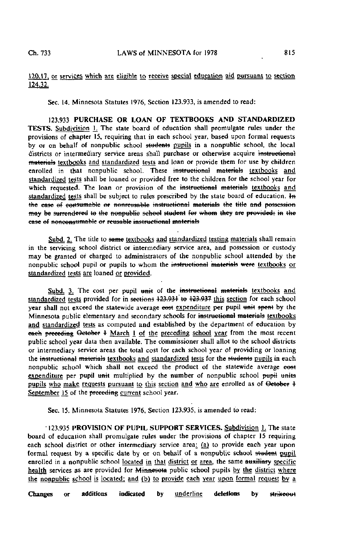Sec. 14. Minnesota Statutes 1976, Section 123.933, is amended to read:

123.933 PURCHASE OR LOAN OF TEXTBOOKS AND STANDARDIZED TESTS. Subdivision L The state board of education shall promulgate rules under the provisions of chapter 15, requiring that in each school year, based upon formal requests by or on behalf of nonpublic school students pupils in a nonpublic school, the local districts or intermediary service areas shall purchase or otherwise acquire instructional materials textbooks and standardized tests and loan or provide them for use by children enrolled in that nonpublic school. These instructional materials textbooks and standardized tests shall be loaned or provided free to the children for the school year for which requested. The loan or provision of the instructional materials textbooks and standardized tests shall be subject to rules prescribed by the state board of education,  $H_n$ the case of consumable or nonreusable instructional materials the title and possession may be surrendered to the nonpublic school student for whom they are provided; in the ease of nonconsumable or reusable instructional materials

Subd. 2. The title to same textbooks and standardized testing materials shall remain in the servicing school district or intermediary service area, and possession or custody may be granted of charged to administrators of the nonpublic school attended by the nonpublic school pupil or pupils to whom the instructional materials were textbooks or standardized tests are loaned or provided.

Subd. 3. The cost per pupil unit of the instructional materials textbooks and standardized tests provided for in sections 123.931 to 123.937 this section for each school year shall not exceed the statewide average eost expenditure per pupil unit spent by the Minnesota public elementary and secondary schools for instructional materials textbooks and standardized tests as computed and established by the department of education by each preceding October 4 March 1 of the preceding school year from the most recent public school year data then available. The commissioner shall allot to the school districts or intermediary service areas the total cost for each school year of providing or loaning the instructional materials textbooks and standardized tests for the students pupils in each nonpublic school which shall not exceed the product of the statewide average eost expenditure per pupil unit multiplied by the number of nonpublic school pupil units pupils who make requests pursuant to this section and who are enrolled as of October 4 September 15 of the preceding current school year.

Sec. 15. Minnesota Statutes 1976, Section 123.935, is amended to read:

123.935 PROVISION OF PUPIL SUPPORT SERVICES. Subdivision I. The state board of education shall promulgate rules under the provisions of chapter 15 requiring each school district or other intermediary service area: (a) to provide each year upon formal request by a specific date by or on behalf of a nonpublic school student pupil enrolled in a nonpublic school located in that district or area, the same auxiliary specific health services as are provided for Minnesota public school pupils by the district where the nonpublic school is located; and (b) to provide each year upon formal request by a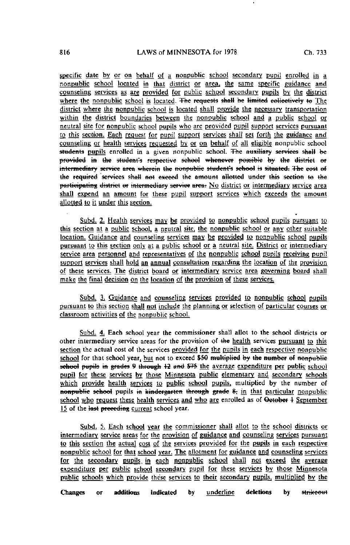specific date by or on behalf of a nonpublic school secondary pupil enrolled in a nonpublic school located in that district or area, the same specific guidance and counseling services as are provided for public school secondary pupils by the district where the nonpublic school is located. The requests shall be limited eollectively to The district where the nonpublic school is located shall provide the necessary transportation within the district boundaries between the nonpublic school and a public school or neutral site for nonpublic school pupils who are provided pupil support services pursuant to this section. Each request for pupil support services shali set forth the guidance and counseling or health services requested, by or on behalf of all eligible nonpublic school students pupils enrolled in a given nonpublic school. The auxiliary services shall be<br>provided in the student's respective sehool whenever possible by the district or intermediary service area wherein the nonpublic student's school is situated. The cost of the required services shall not exceed the amount allotted under this section to the participating district or intermediary service area. No district or intermediary service area shall expend an amount for these pupil support services which exceeds the amount allotted to it under this section.

Subd. 2. Health services may be provided to nonpublic school pupils pursuant to this section at a public school, a neutral site, the nonpublic school or any other suitable location. Guidance and counseling services may be provided to nonpublic school pupils pursuant to this section only at a public school or a neutral site. District or intermediary service area personnel and representatives of the nonpublic school pupils receiving pupil support services shall hold an annual consultation regarding the location of the provision of these services. The district board or intermediary service area governing board shall make the final decision on the location of the provision of these services.

Subd. 3. Guidance and counseling services provided to nonpublic school pupils pursuant to this section shall not include the planning or selection of particular courses or classroom activities of the nonpublic school.

Subd. 4. Each school year the commissioner shall allot to the school districts or other intermediary service areas for the provision of the health services pursuant to this section the actual cost of the services provided for the pupils in each respective nonpublic school for that school year, but not to exceed \$50 multiplied by the number of nonpublie school pupils in grades 9 through 12 and \$75 the average expenditure per public school pupil for these services by those Minnesota public elementary and secondary schools which provide health services to public school pupils, multiplied by the number of nonpublic school pupils in kindergarten through grade 8; in that particular nonpublic school who request these health services and who are enrolled as of October 4 September 15 of the last preceding current school year.

Subd. 5. Each school year the commissioner shall allot to the school districts or intermediary service areas for the provision of guidance and counseling services pursuant to this section the actual cost of the services provided for the pupils in each respective nonpublic school for that school year. The allotment for guidance and counseling services for the secondary pupils in each nonpublic school shall not exceed the average expenditure per public school secondary pupil for these services by those Minnesota public schools which provide these services to their secondary pupils, multiplied by the

Changes or additions indicated by <u>underline</u> deletions by s<del>trikeout</del>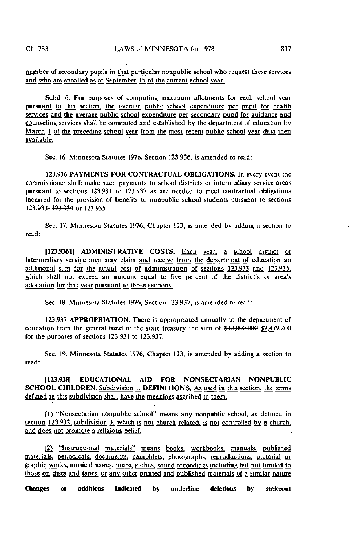number of secondary pupils in that particular nonpublic school who request these services and who are enrolled as of September 15 of the current school year.

Subd. 6. For purposes of computing maximum allotments for each school year pursuant to this section, the average public school expenditure per pupil for health services and the average public school expenditure per secondary pupil for guidance and counseling services shall be computed and established by the department of education by March 1 of the preceding school year from the most recent public school year data then available.

Sec. 16. Minnesota Statutes 1976, Section 123.936, is amended to read:

123.936 PAYMENTS FOR CONTRACTUAL OBLIGATIONS. In every event the commissioner shall make such payments to school districts or intermediary service areas pursuant to sections 123.931 to 123.937 as are needed to meet contractual obligations incurred for the provision of benefits to nonpublic school students pursuant to sections 123.933<del>, 123.934</del> or 123.935.

Sec. 17. Minnesota Statutes 1976, Chapter 123, is amended by adding a section to read:

[123.9361] ADMINISTRATIVE COSTS. Each year, a school district or intermediary service area may claim and receive from the department of education an additional sum for the actual cost of administration of sections 123.933 and 123.935. which shall not exceed an amount equal to five percent of the district's or area's allocation for that year pursuant to those sections.

Sec. 18. Minnesota Statutes 1976, Section 123.937, is amended to read:

123.937 APPROPRIATION. There is appropriated annually to the department of education from the general fund of the state treasury the sum of \$12,000.000 \$2.479.200 for the purposes of sections 123.931 to 123.937.

Sec. 19. Minnesota Statutes 1976, Chapter 123, is amended by adding a section to read:

[123.9381 EDUCATIONAL AID FOR NONSECTARIAN NONPUBLIC SCHOOL CHILDREN. Subdivision 1. DEFINITIONS. As used in this section, the terms defined in this subdivision shall have the meanings ascribed to them.

(1) "Nonsectarian nonpublic school" means any nonpublic school, as defined in section 123.932, subdivision 3, which is not church related, is not controlled by a church. and does not promote a religious belief.

(2) "Instructional materials" means books, workbooks, manuals, published materials, periodicals, documents, pamphlets, photographs, reproductions, pictorial or graphic works, musical scores, maps, globes, sound recordings including but not limited to those on discs and tapes, or any other printed and published materials of a similar nature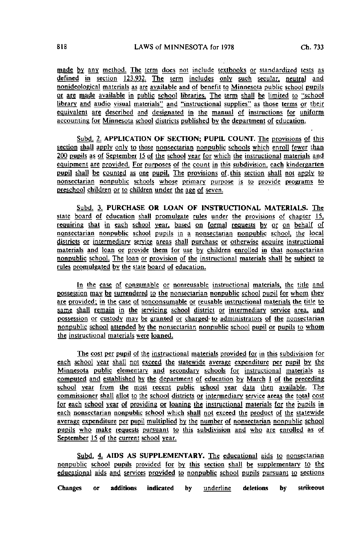made by any method. The term does not include textbooks or standardized tests as defined in section 123.932. The term includes only such secular, neutral and nonideological materials as are available and of benefit to Minnesota public school pupils or are made available in public school libraries. The term shall be limited to "school library and audio visual materials" and "instructional supplies" as those terms or their equivalent are described and designated in the manual of instructions for uniform accounting for Minnesota school districts published by the department of education.

Subd. 2. APPLICATION OF SECTION; PUPIL COUNT. The provisions of this section shall apply only to those nonsectarian nonpublic schools which enroll fewer than 200 pupils as of September J5 of the school year for which the instructional materials and equipment are provided. For purposes of the count in this subdivision, each kindergarten pupil shall be counted as one pupil. The provisions of. this section shall not apply to nonsectarian nonpublic schools whose primary purpose is to provide programs to preschool children or to children under the age of seven.

Subd. 3. PURCHASE OR LOAN OF INSTRUCTIONAL MATERIALS. The state board of education shall promulgate rules under the provisions of chapter 15. requiring that in each school year, based on formal requests by or on behalf of nonsectarian nonpublic school pupils in a nonsectarian nonpublic school, the local districts or intermediary service areas shall purchase or otherwise acquire instructional materials and loan or provide them for use by children enrolled in that nonsectarian nonpublic school. The loan or provision of the instructional materials shall be subject to rules promulgated by the state board of education.

In the case of consumable or nonreusable instructional materials, the title and possession may be surrendered to the nonsectarian nonpublic school pupil for whom they are provided: in the case of nonconsumable or reusable instructional materials the title to same shall remain in the servicing school district or intermediary service area, and possession or custody may be granted or charged- to administrators of the nonsectarian nonpublic school attended by the nonsectarian nonpublic school pupil or pupils to whom the instructional materials were loaned.

The cost per pupil of the instructional materials provided (or in this subdivision for each school year shall not exceed the statewide average expenditure per pupil by the Minnesota public elementary and secondary schools for instructional materials as computed and established by the department of education by March 1 of the preceding school year from the most recent public school year data then available. The commissioner shall allot to the school districts or intermediary service areas the total cost for each school year of providing or loaning the instructional materials for the pupils in each nonsectarian nonpublic school which shall not exceed the product of the statewide average expenditure per pupil multiplied by the number of nonsectarian nonpublic school pupils who make requests pursuant to this subdivision and who are enrolled as of September 15 of the current school year.

Subd. 4. AIDS AS SUPPLEMENTARY. The educational aids to nonsectarian nonpublic school pupils provided for by this section shall be supplementary to the educational aids and services provided to nonpublic school pupils pursuant to sections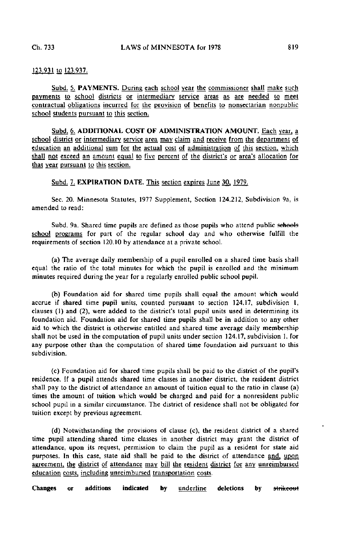# 123.931 to 123.937.

Subd. 5. PAYMENTS. During each school year the commissioner shall make such payments to school districts or intermediary service areas as are needed to meet contractual obligations incurred for the provision of benefits to nonsectarian nonpublic school students pursuant to this section.

Subd. 6. ADDITIONAL COST OF ADMINISTRATION AMOUNT. Each year, a school district or intermediary service area may claim and receive from the department of education an additional sum for the actual cost of administration of this section, which shall not exceed an amount equal to five percent of the district's or area's allocation for that year pursuant to this section.

### Subd. 7. **EXPIRATION DATE.** This section expires June 30, 1979.

Sec. 20. Minnesota Statutes, 1977 Supplement, Section 124.212, Subdivision 9a, is amended to read:

Subd. 9a. Shared time pupils are defined as those pupils who attend public sehools school programs for part of the regular school day and who otherwise fulfill the requirements of section 120.10 by attendance at a private school.

(a) The average daily membership of a pupil enrolled on a shared time basis shall equal the ratio of the total minutes for which the pupil is enrolled and the minimum minutes required during the year for a regularly enrolled public school pupil.

(b) Foundation aid for shared time pupils shall equal the amount which would accrue if shared time pupil units, counted pursuant to section 124.17, subdivision I, clauses (1) and (2), were added to the district's total pupil units used in determining its foundation aid. Foundation aid for shared time pupils shall be in addition to any other aid to which the district is otherwise entitled and shared time average daily membership shall not be used in the computation of pupil units under section 124.17, subdivision 1, for any purpose other than the computation of shared time foundation aid pursuant to this subdivision.

(c) Foundation aid for shared time pupils shall be paid to the district of the pupil's residence. If a pupil attends shared time classes in another district, the resident district shall pay to the district of attendance an amount of tuition equal to the ratio in clause (a) times the amount of tuition which would be charged and paid for a nonresident public school pupil in a similar circumstance. The district of residence shall not be obligated for tuition except by previous agreement.

(d) Notwithstanding the provisions of clause (c), the resident district of a shared time pupil attending shared time classes in another district may grant the district of attendance, upon its request, permission to claim the pupil as a resident for state aid purposes. In this case, state aid shall be paid to the district of attendance and, upon agreement, the district of attendance may bill the resident district for any unreimbursed education costs, including unreimbursed transportation costs.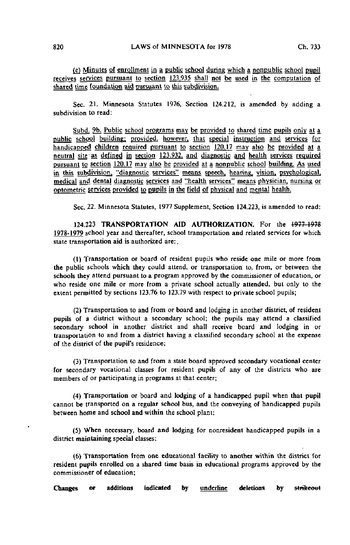(e) Minutes of enrollment in a public school during which a ngnpublic school pupil receives services pursuant to section 123.935 shall not be used in the computation of shared time foundation aid pursuant to this subdivision.

Sec. 21. Minnesota Statutes 1976, Section 124.212, is amended by adding a subdivision to read:

Subd. 9b. Public school programs may be provided to shared time pupils only at a public school building; provided, however, that special instruction and services for handicapped children required pursuant to section 120.17 may also be provided at a neutral site 'as defined in section 123.932, and diagnostic and health services required pursuant to section  $120.17$  may also be provided at a nonpublic school building. As used in this subdivision, "diagnostic services" means speech, hearing, vision, psychological. medical and dental diagnostic services and "health services" means physician, nursing or optometric services provided to pupils in the field of physical and mental health.

Sec. 22. Minnesota Statutes, 1977 Supplement, Section 124.223, is amended to read:

124.223 TRANSPORTATION AID AUTHORIZATION. For the 1977 1978 1978-1979 school year and thereafter, school transportation and related services for which state transportation aid is authorized are: .

(1) Transportation or board of resident pupils who reside one mile or more from the public schools which they could attend, or transportation to, from, or between the schools they attend pursuant to a program approved by the commissioner of education, or who reside one mile or more from a private school actually attended, but only to the extent permitted by sections 123.76 to 123.79 with respect to private school pupils;

(2) Transportation to and from or board and lodging in another district, of resident pupils of a district without a secondary school; the pupils may attend a classified secondary school in another district and shall receive board and lodging in or transportation to and from a district having a classified secondary school at the expense of the district of the pupil's residence;

(3) Transportation to and from a state board approved secondary vocational center for secondary vocational classes for resident pupils of any of the districts who are members of or participating in programs at that center;

(4) Transportation or board and lodging of a handicapped pupil when that pupil cannot be transported on a regular school bus, and the conveying of handicapped pupils between home and school and within the school plant;

(5) When necessary, board and lodging for nonresident handicapped pupils in a district maintaining special classes;

(6) Transportation from one educational facility to another within the district for resident pupils enrolled on a shared time basis in educational programs approved by the commissioner of education;